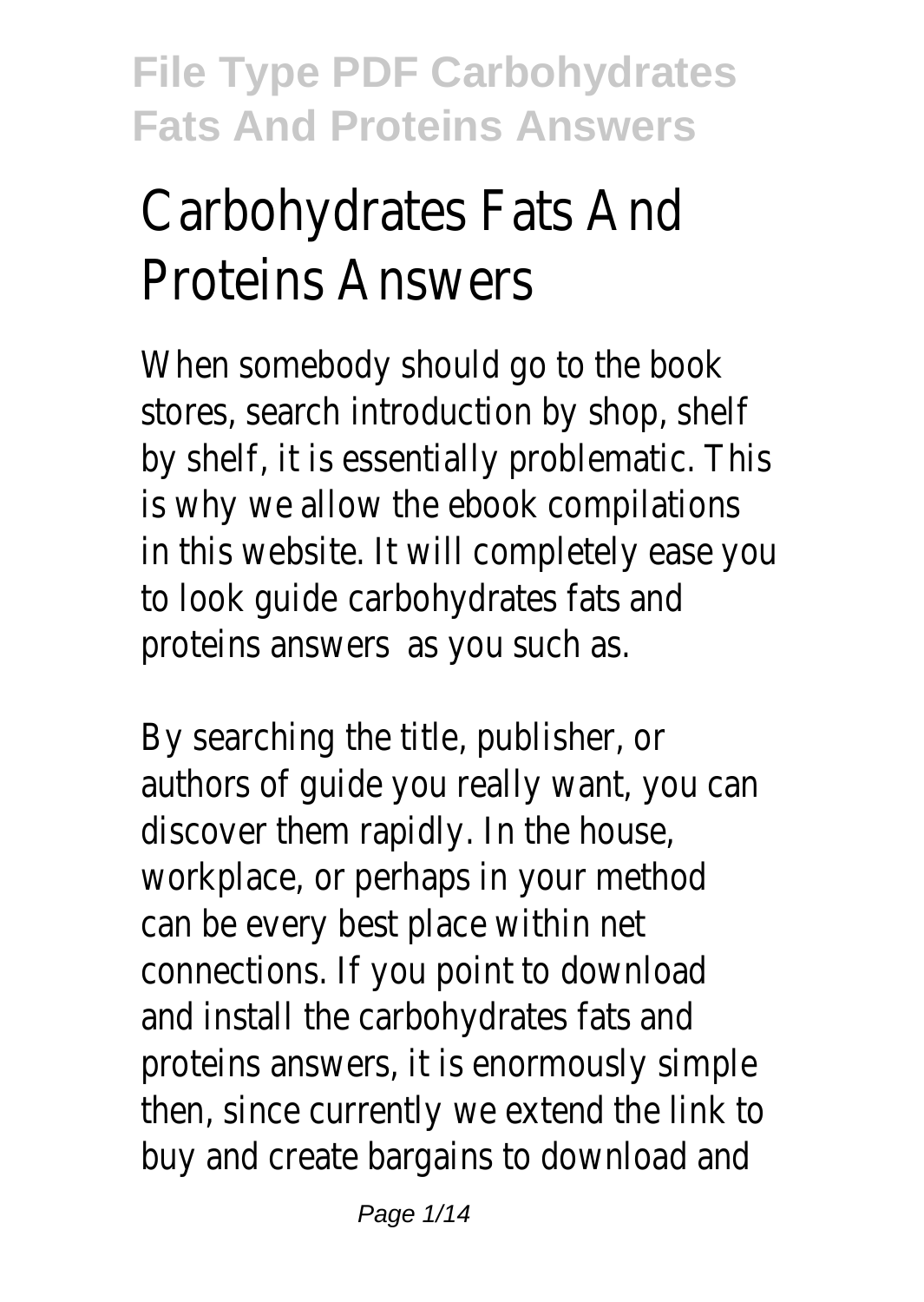# Carbohydrates Fats And Proteins Answers

When somebody should go to the book stores, search introduction by shop, shelf by shelf, it is essentially problematic. This is why we allow the ebook compilations in this website. It will completely ease you to look guide carbohydrates fats and proteins answers as you such as.

By searching the title, publisher, or authors of guide you really want, you can discover them rapidly. In the house, workplace, or perhaps in your method can be every best place within net connections. If you point to download and install the carbohydrates fats and proteins answers, it is enormously simple then, since currently we extend the link to buy and create bargains to download and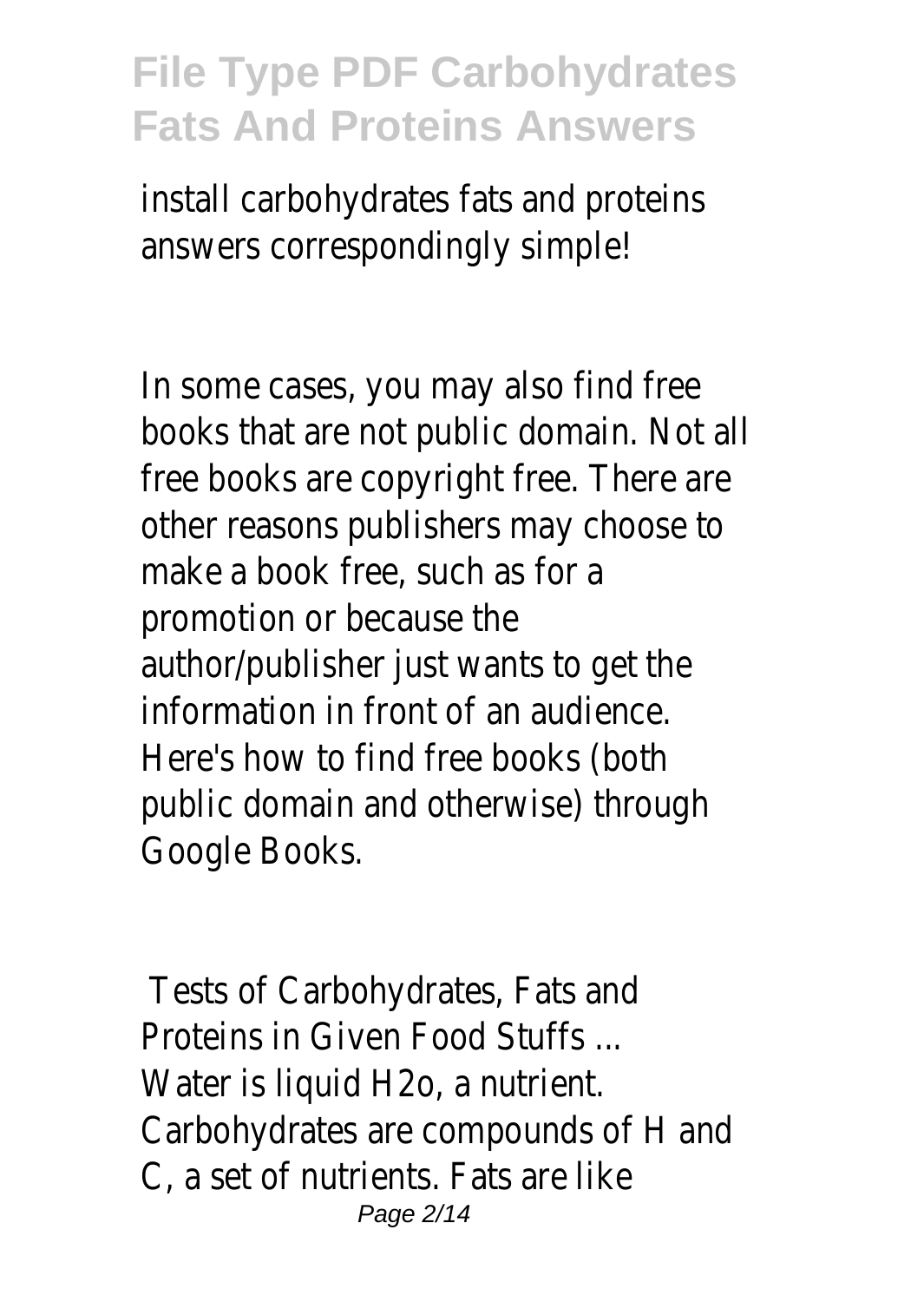install carbohydrates fats and proteins answers correspondingly simple!

In some cases, you may also find free books that are not public domain. Not all free books are copyright free. There are other reasons publishers may choose to make a book free, such as for a promotion or because the author/publisher just wants to get the information in front of an audience. Here's how to find free books (both public domain and otherwise) through Google Books.

Tests of Carbohydrates, Fats and Proteins in Given Food Stuffs ... Water is liquid H2o, a nutrient. Carbohydrates are compounds of H and C, a set of nutrients. Fats are like Page 2/14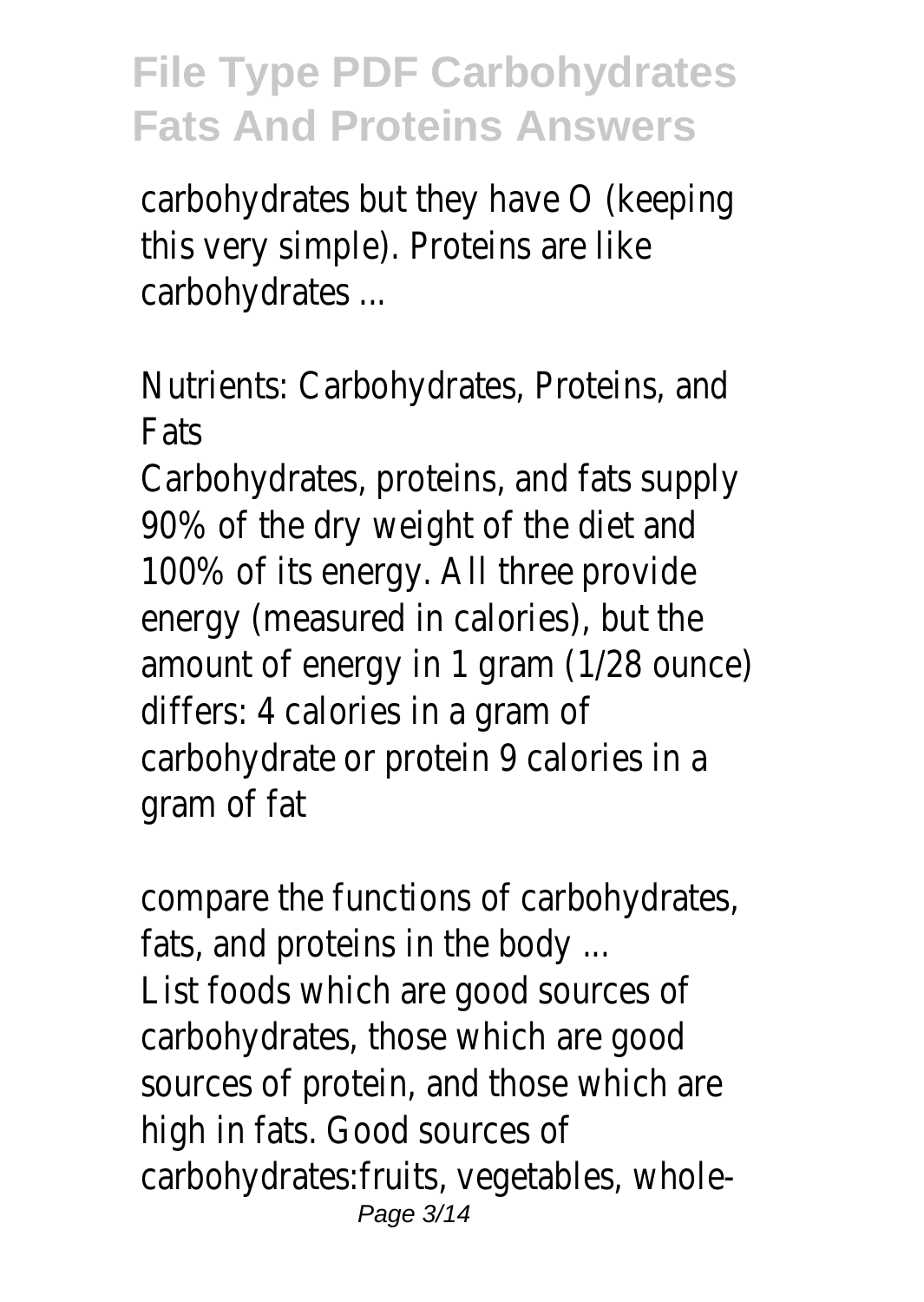carbohydrates but they have O (keeping this very simple). Proteins are like carbohydrates ...

Nutrients: Carbohydrates, Proteins, and Fats

Carbohydrates, proteins, and fats supply 90% of the dry weight of the diet and 100% of its energy. All three provide energy (measured in calories), but the amount of energy in 1 gram (1/28 ounce) differs: 4 calories in a gram of carbohydrate or protein 9 calories in a gram of fat

compare the functions of carbohydrates, fats, and proteins in the body ... List foods which are good sources of carbohydrates, those which are good sources of protein, and those which are high in fats. Good sources of carbohydrates:fruits, vegetables, whole-Page 3/14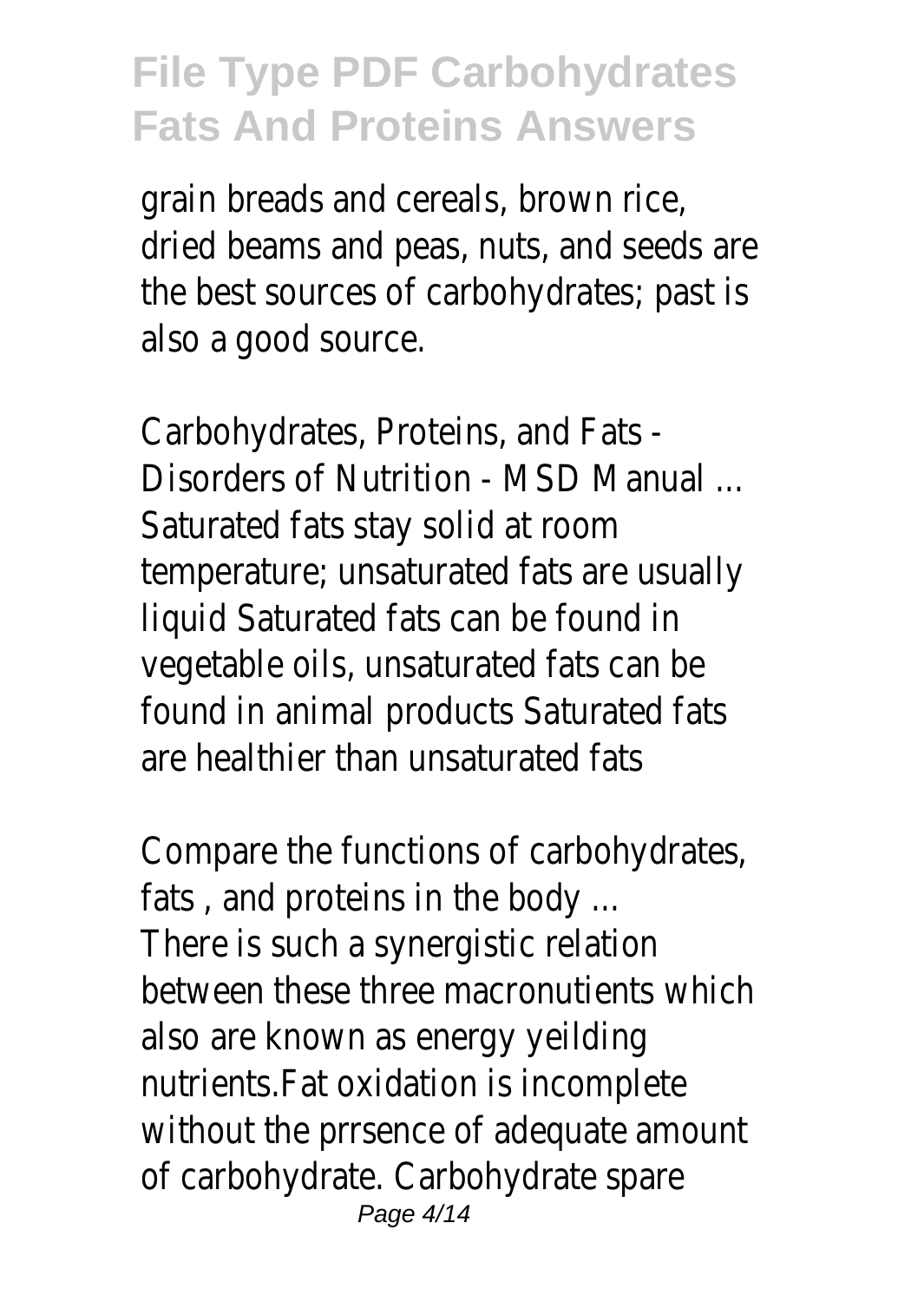grain breads and cereals, brown rice, dried beams and peas, nuts, and seeds are the best sources of carbohydrates; past is also a good source.

Carbohydrates, Proteins, and Fats - Disorders of Nutrition - MSD Manual ... Saturated fats stay solid at room temperature; unsaturated fats are usually liquid Saturated fats can be found in vegetable oils, unsaturated fats can be found in animal products Saturated fats are healthier than unsaturated fats

Compare the functions of carbohydrates, fats , and proteins in the body ... There is such a synergistic relation between these three macronutients which also are known as energy yeilding nutrients.Fat oxidation is incomplete without the prrsence of adequate amount of carbohydrate. Carbohydrate spare Page 4/14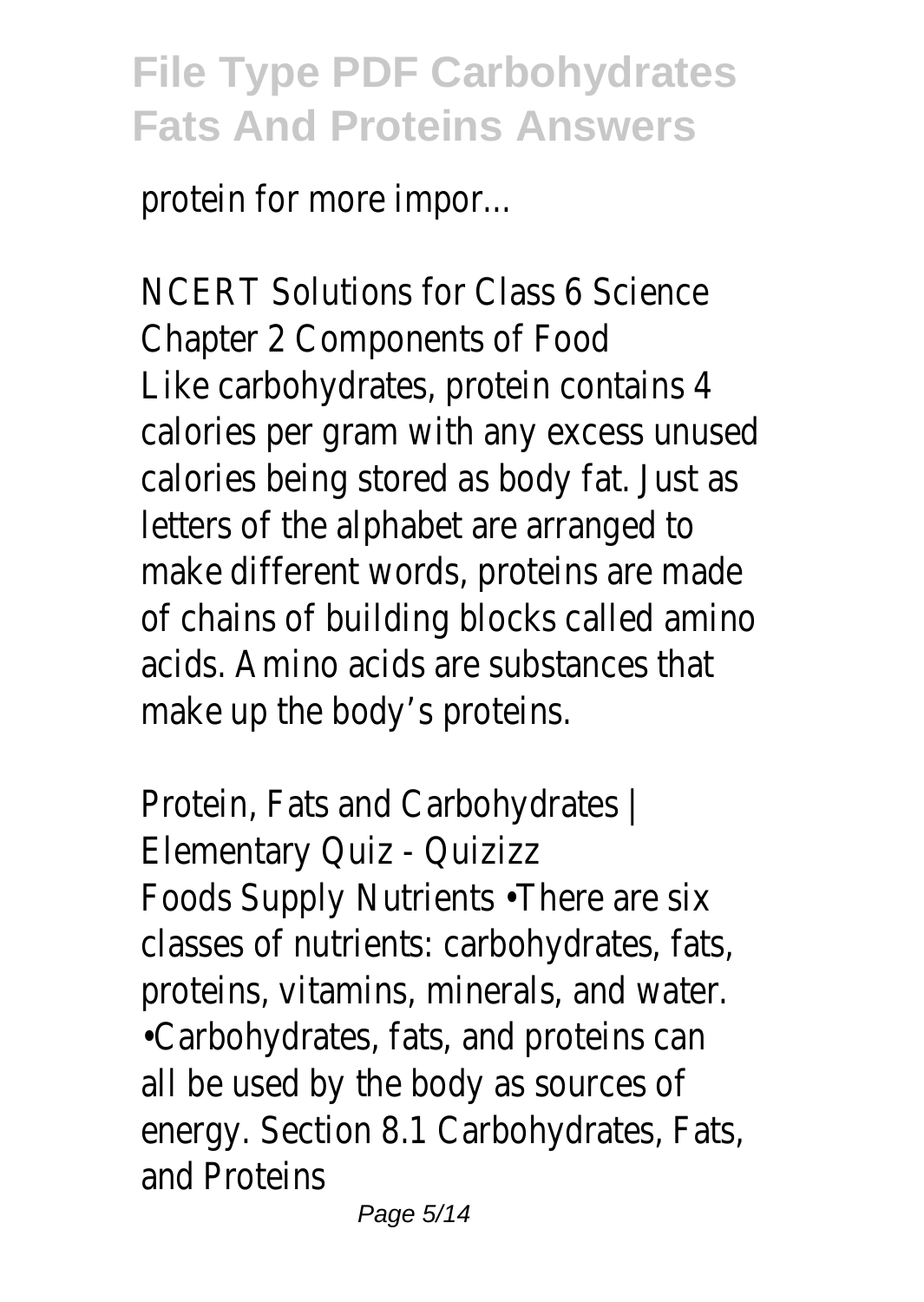protein for more impor...

NCERT Solutions for Class 6 Science Chapter 2 Components of Food Like carbohydrates, protein contains 4 calories per gram with any excess unused calories being stored as body fat. Just as letters of the alphabet are arranged to make different words, proteins are made of chains of building blocks called amino acids. Amino acids are substances that make up the body's proteins.

Protein, Fats and Carbohydrates | Elementary Quiz - Quizizz Foods Supply Nutrients •There are six classes of nutrients: carbohydrates, fats, proteins, vitamins, minerals, and water. •Carbohydrates, fats, and proteins can all be used by the body as sources of energy. Section 8.1 Carbohydrates, Fats, and Proteins

Page 5/14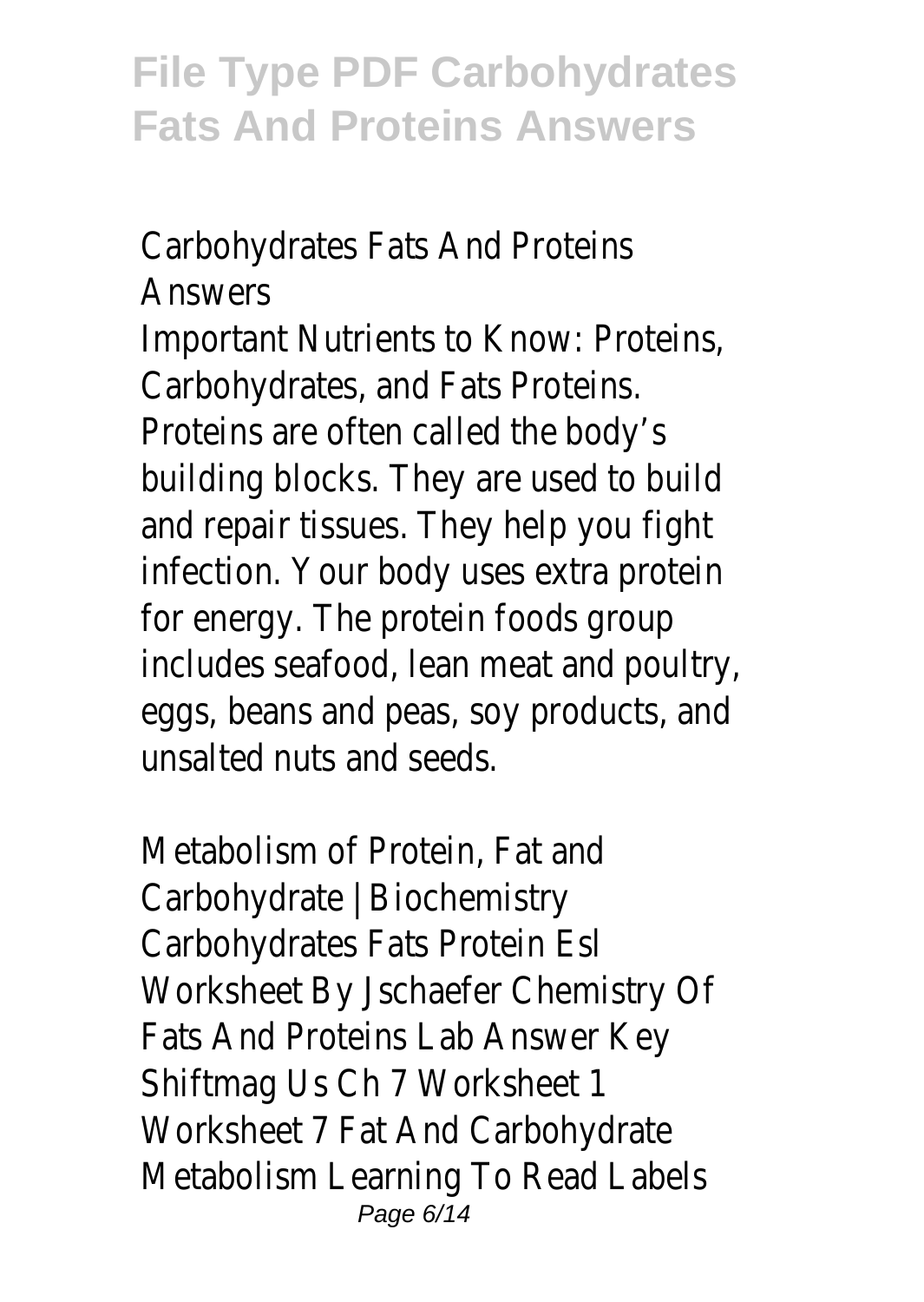Carbohydrates Fats And Proteins **Answers** Important Nutrients to Know: Proteins, Carbohydrates, and Fats Proteins. Proteins are often called the body's building blocks. They are used to build and repair tissues. They help you fight infection. Your body uses extra protein for energy. The protein foods group includes seafood, lean meat and poultry, eggs, beans and peas, soy products, and unsalted nuts and seeds.

Metabolism of Protein, Fat and Carbohydrate | Biochemistry Carbohydrates Fats Protein Esl Worksheet By Jschaefer Chemistry Of Fats And Proteins Lab Answer Key Shiftmag Us Ch 7 Worksheet 1 Worksheet 7 Fat And Carbohydrate Metabolism Learning To Read Labels Page 6/14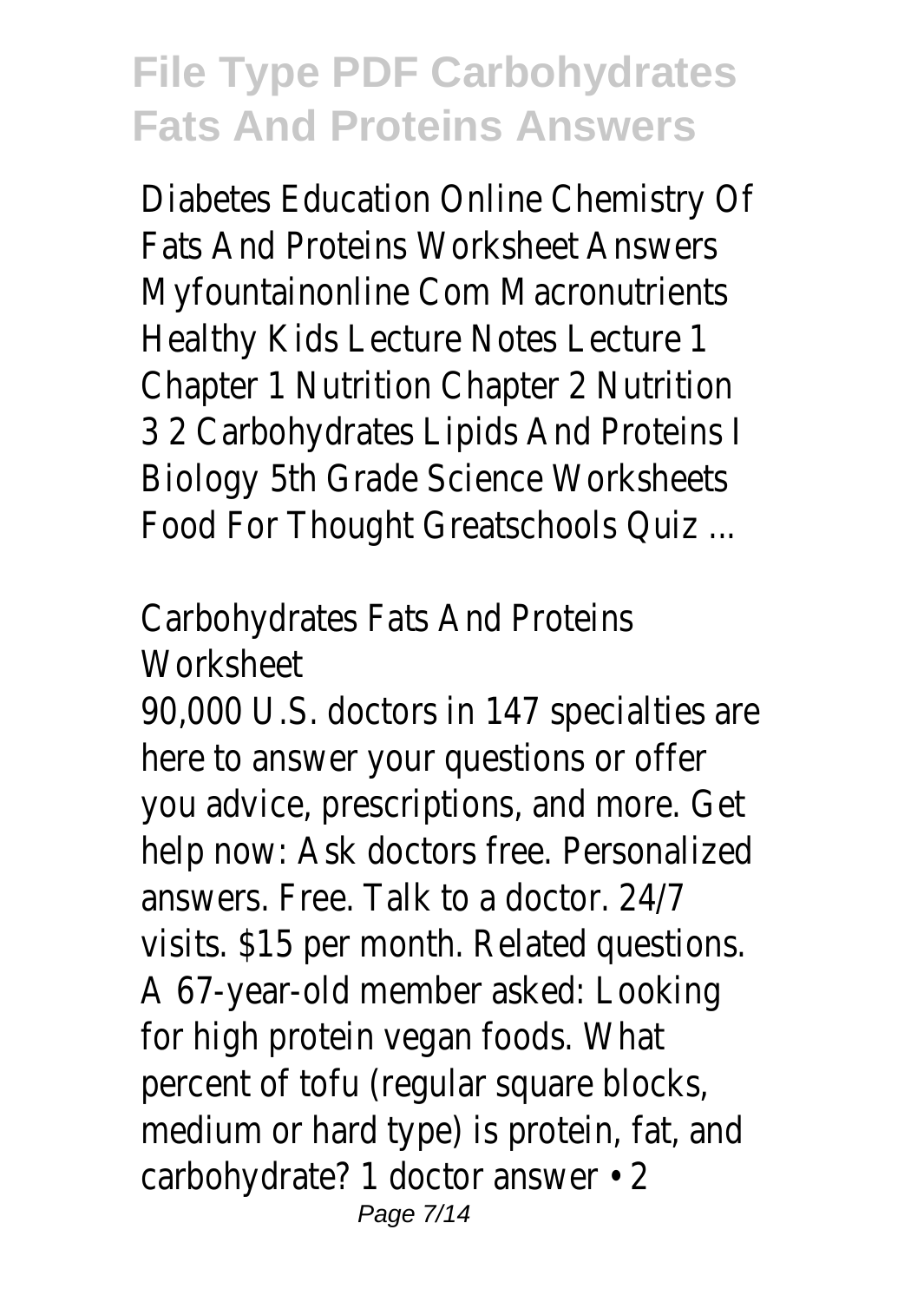Diabetes Education Online Chemistry Of Fats And Proteins Worksheet Answers Myfountainonline Com Macronutrients Healthy Kids Lecture Notes Lecture 1 Chapter 1 Nutrition Chapter 2 Nutrition 3 2 Carbohydrates Lipids And Proteins I Biology 5th Grade Science Worksheets Food For Thought Greatschools Quiz ...

Carbohydrates Fats And Proteins **Worksheet** 

90,000 U.S. doctors in 147 specialties are here to answer your questions or offer you advice, prescriptions, and more. Get help now: Ask doctors free. Personalized answers. Free. Talk to a doctor. 24/7 visits. \$15 per month. Related questions. A 67-year-old member asked: Looking for high protein vegan foods. What percent of tofu (regular square blocks, medium or hard type) is protein, fat, and carbohydrate? 1 doctor answer • 2 Page 7/14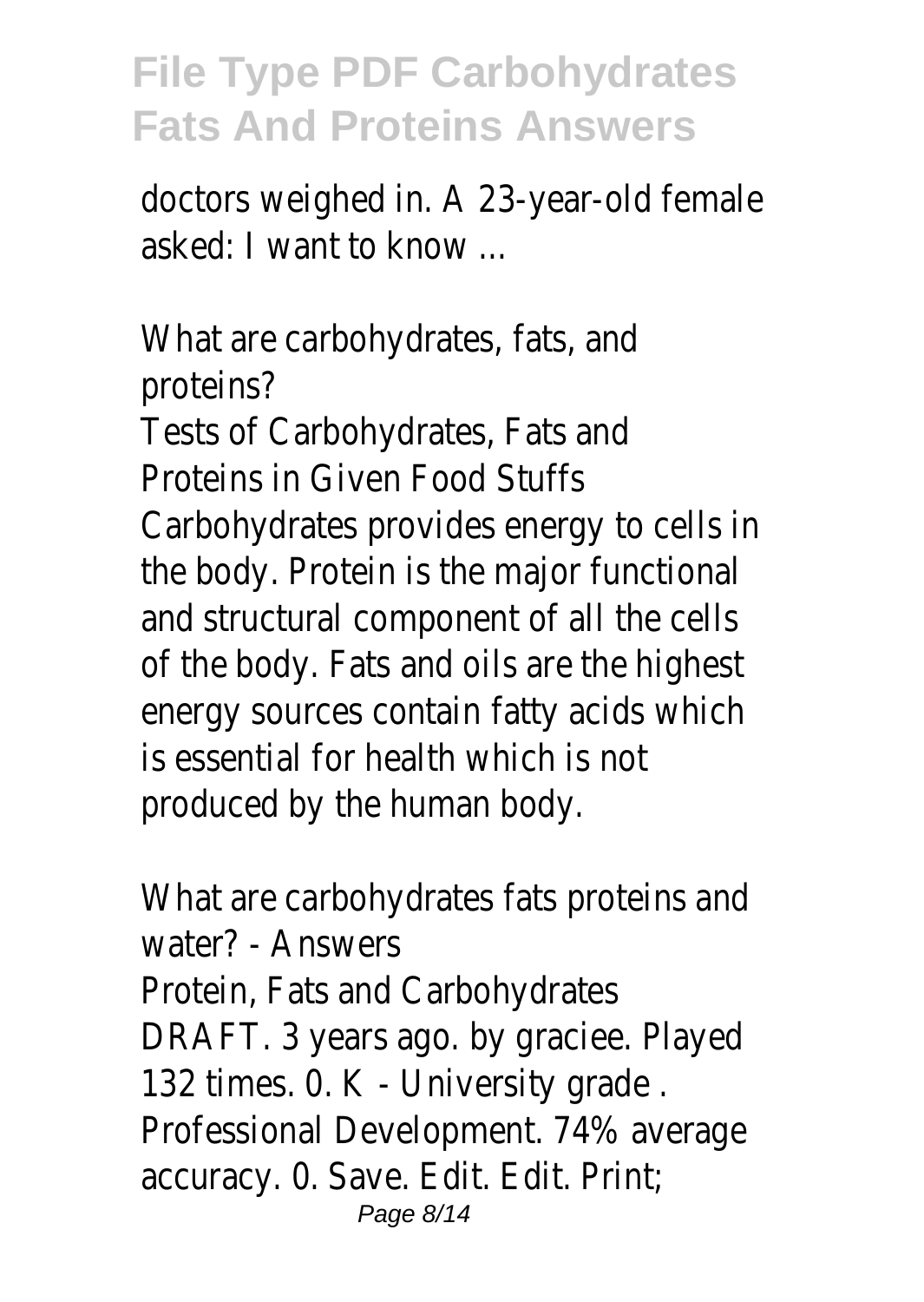doctors weighed in. A 23-year-old female asked: I want to know ...

What are carbohydrates, fats, and proteins? Tests of Carbohydrates, Fats and Proteins in Given Food Stuffs Carbohydrates provides energy to cells in the body. Protein is the major functional and structural component of all the cells of the body. Fats and oils are the highest energy sources contain fatty acids which is essential for health which is not produced by the human body.

What are carbohydrates fats proteins and water? - Answers Protein, Fats and Carbohydrates DRAFT. 3 years ago. by graciee. Played 132 times. 0. K - University grade . Professional Development. 74% average accuracy. 0. Save. Edit. Edit. Print; Page 8/14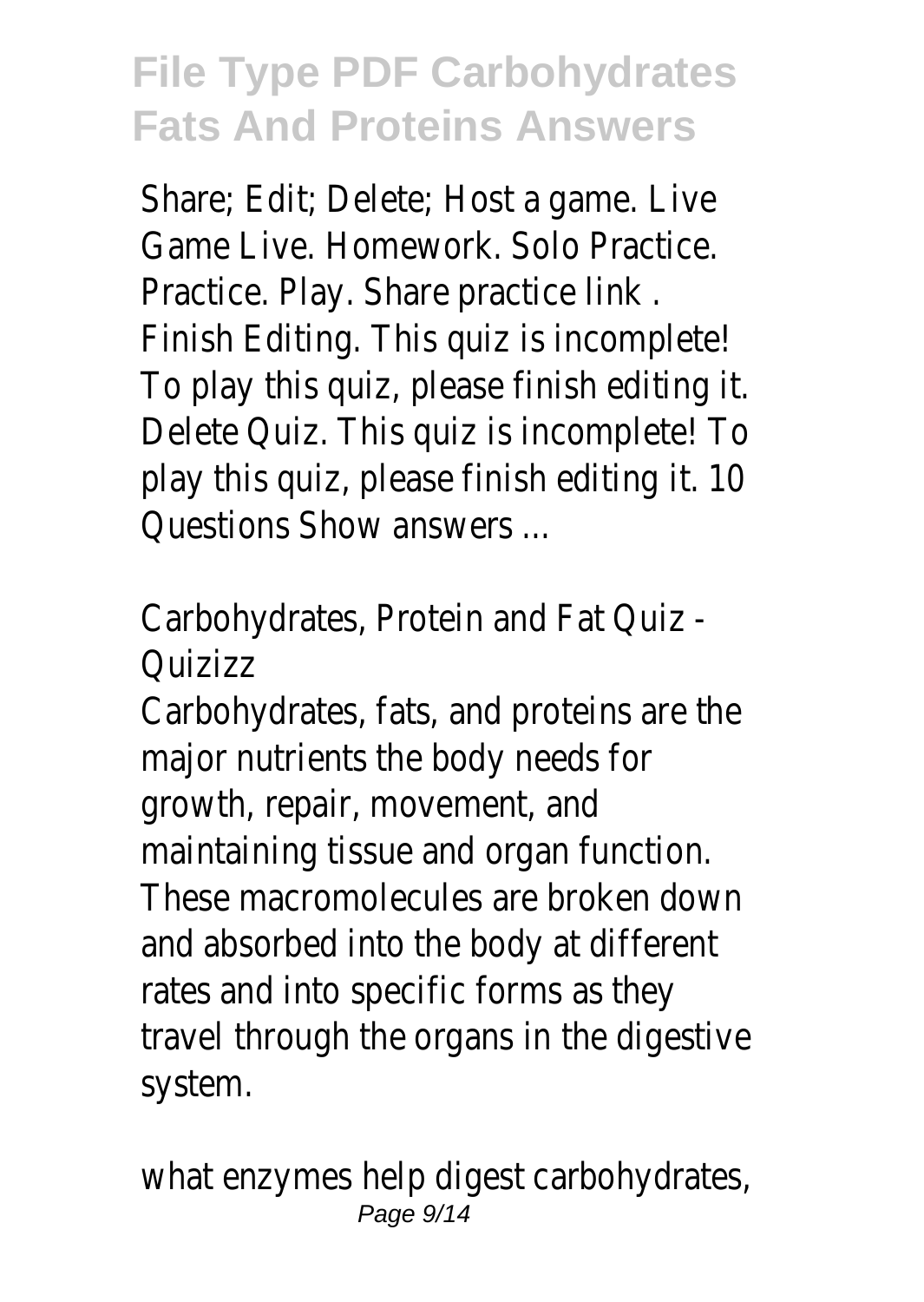Share; Edit; Delete; Host a game. Live Game Live. Homework. Solo Practice. Practice. Play. Share practice link . Finish Editing. This quiz is incomplete! To play this quiz, please finish editing it. Delete Quiz. This quiz is incomplete! To play this quiz, please finish editing it. 10 Questions Show answers ...

Carbohydrates, Protein and Fat Quiz - Quizizz

Carbohydrates, fats, and proteins are the major nutrients the body needs for growth, repair, movement, and maintaining tissue and organ function. These macromolecules are broken down and absorbed into the body at different rates and into specific forms as they travel through the organs in the digestive system.

what enzymes help digest carbohydrates, Page 9/14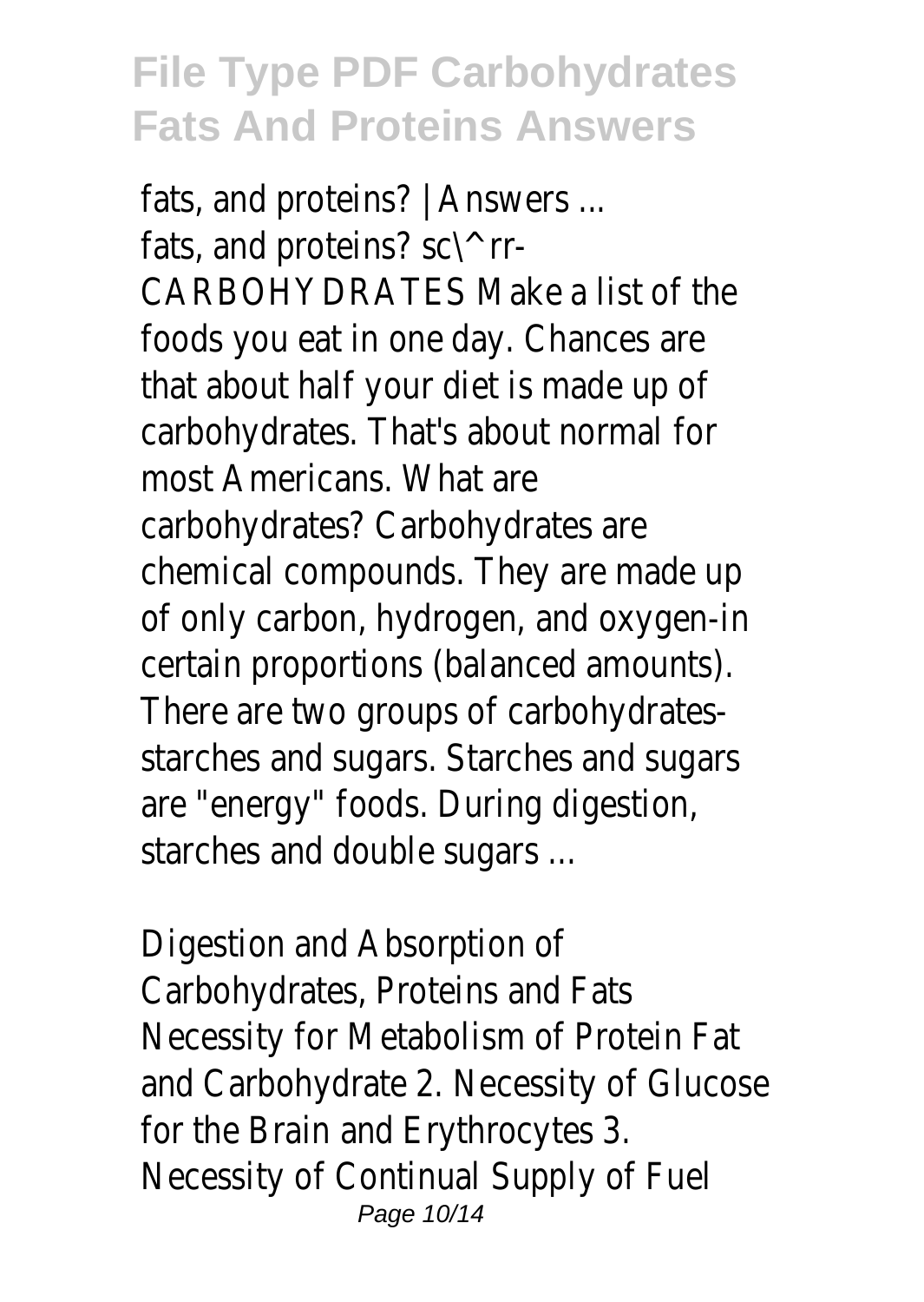fats, and proteins? | Answers ... fats, and proteins? sc\^ rr-CARBOHYDRATES Make a list of the foods you eat in one day. Chances are that about half your diet is made up of carbohydrates. That's about normal for most Americans. What are carbohydrates? Carbohydrates are chemical compounds. They are made up of only carbon, hydrogen, and oxygen-in certain proportions (balanced amounts). There are two groups of carbohydratesstarches and sugars. Starches and sugars are "energy" foods. During digestion, starches and double sugars ...

Digestion and Absorption of Carbohydrates, Proteins and Fats Necessity for Metabolism of Protein Fat and Carbohydrate 2. Necessity of Glucose for the Brain and Erythrocytes 3. Necessity of Continual Supply of Fuel Page 10/14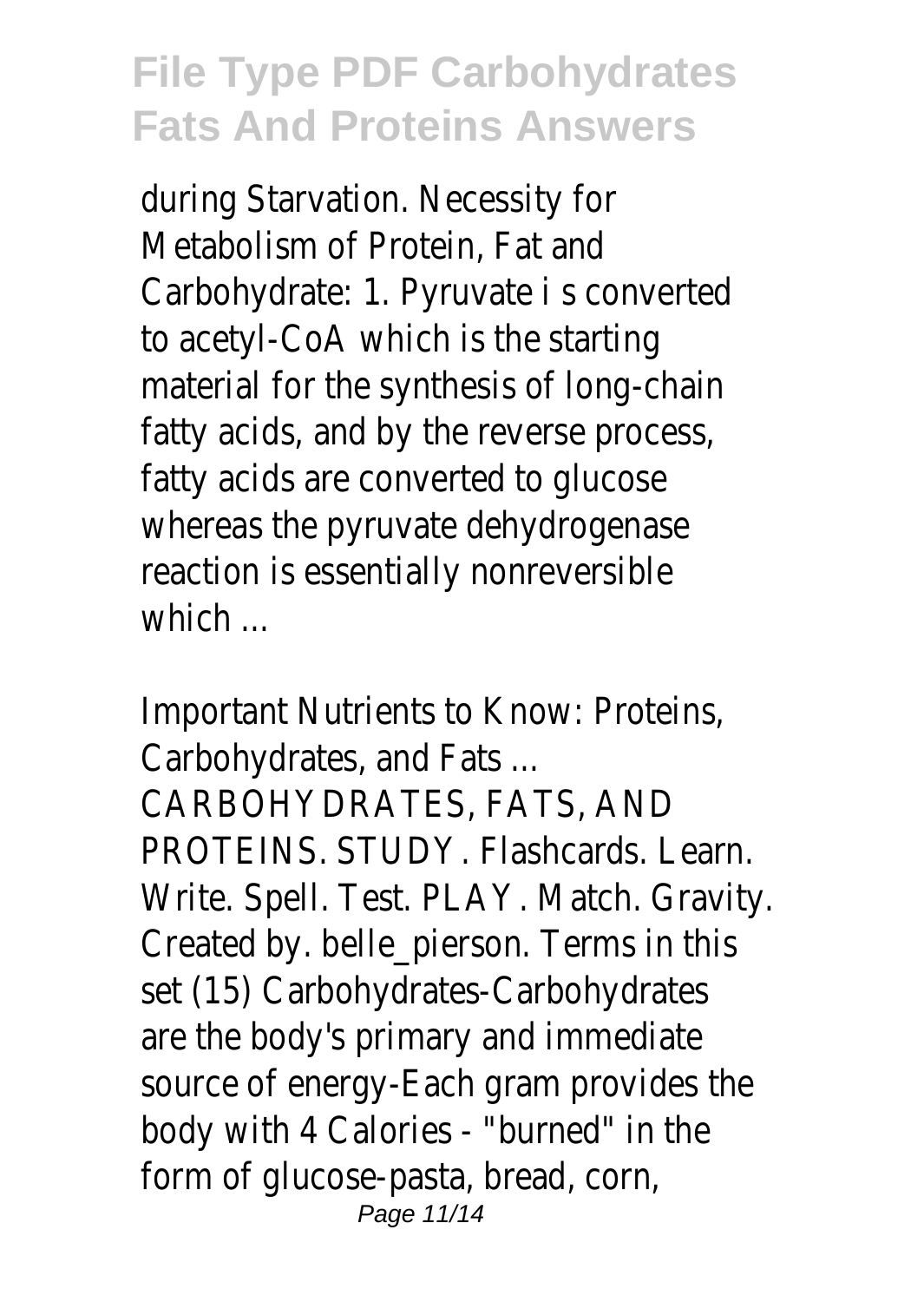during Starvation. Necessity for Metabolism of Protein, Fat and Carbohydrate: 1. Pyruvate i s converted to acetyl-CoA which is the starting material for the synthesis of long-chain fatty acids, and by the reverse process, fatty acids are converted to glucose whereas the pyruvate dehydrogenase reaction is essentially nonreversible which ...

Important Nutrients to Know: Proteins, Carbohydrates, and Fats ... CARBOHYDRATES, FATS, AND PROTEINS. STUDY. Flashcards. Learn. Write. Spell. Test. PLAY. Match. Gravity. Created by. belle\_pierson. Terms in this set (15) Carbohydrates-Carbohydrates are the body's primary and immediate source of energy-Each gram provides the body with 4 Calories - "burned" in the form of glucose-pasta, bread, corn, Page 11/14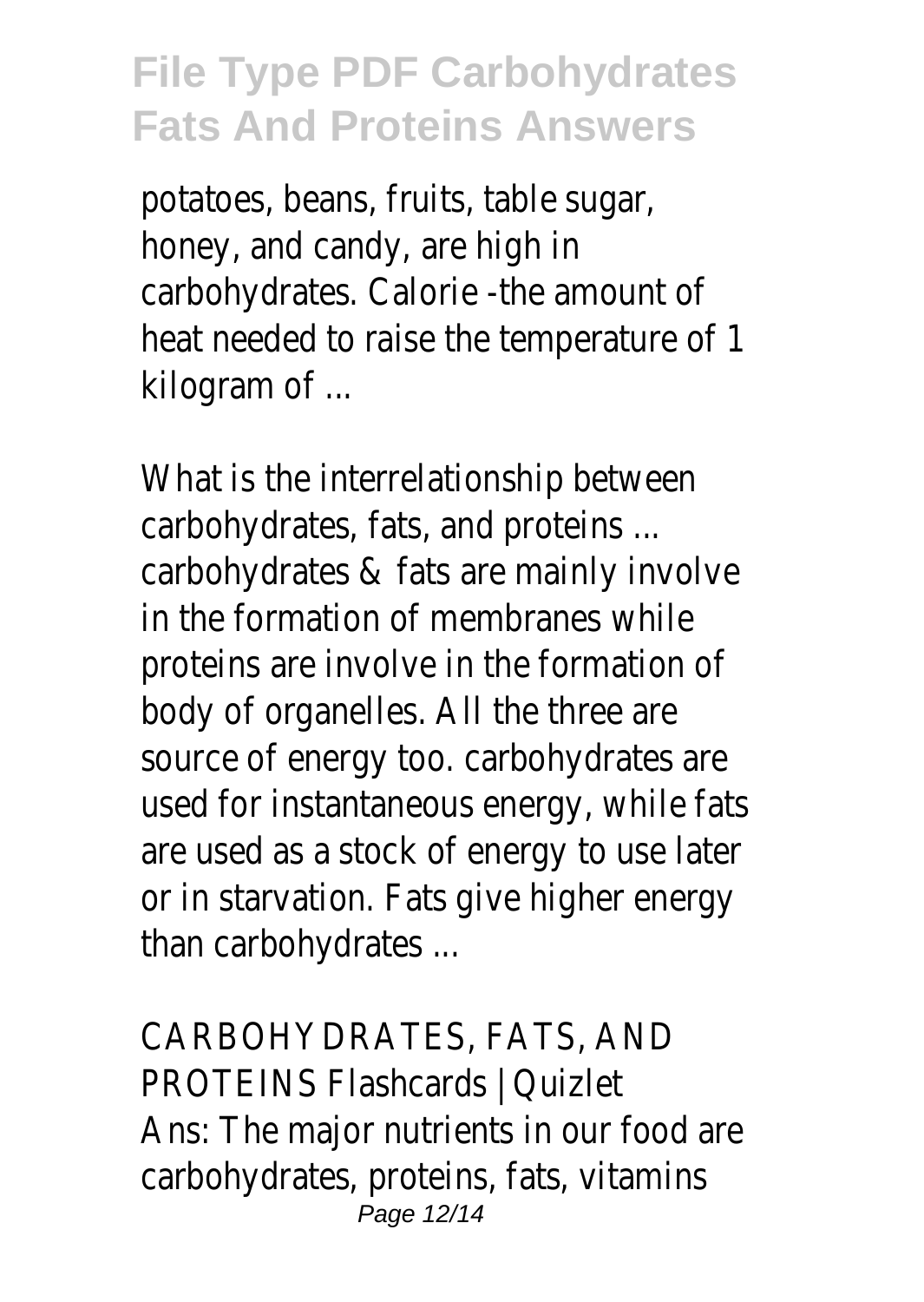potatoes, beans, fruits, table sugar, honey, and candy, are high in carbohydrates. Calorie -the amount of heat needed to raise the temperature of 1 kilogram of ...

What is the interrelationship between carbohydrates, fats, and proteins ... carbohydrates & fats are mainly involve in the formation of membranes while proteins are involve in the formation of body of organelles. All the three are source of energy too. carbohydrates are used for instantaneous energy, while fats are used as a stock of energy to use later or in starvation. Fats give higher energy than carbohydrates ...

CARBOHYDRATES, FATS, AND PROTEINS Flashcards | Quizlet Ans: The major nutrients in our food are carbohydrates, proteins, fats, vitamins Page 12/14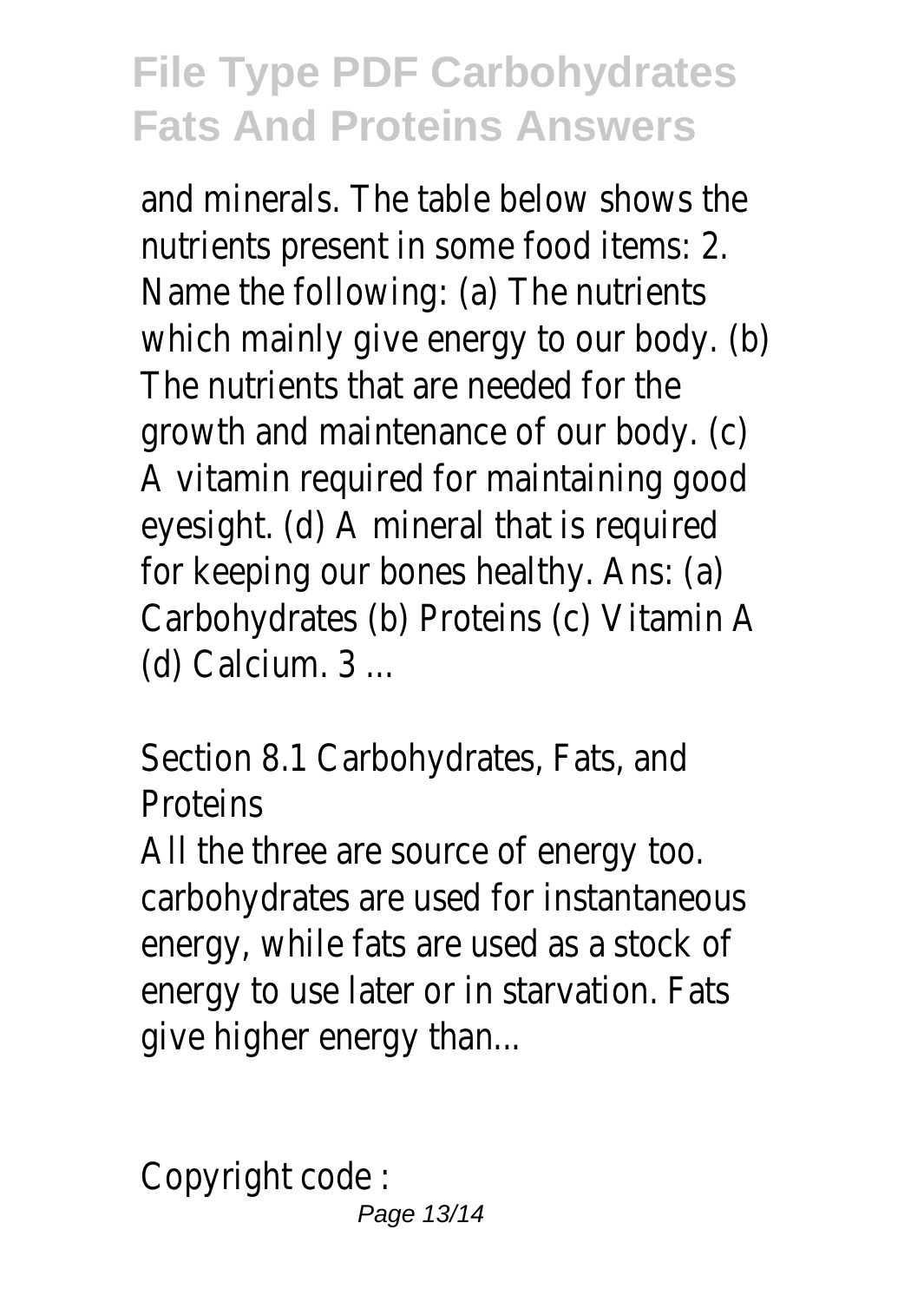and minerals. The table below shows the nutrients present in some food items: 2. Name the following: (a) The nutrients which mainly give energy to our body. (b) The nutrients that are needed for the growth and maintenance of our body. (c) A vitamin required for maintaining good eyesight. (d) A mineral that is required for keeping our bones healthy. Ans: (a) Carbohydrates (b) Proteins (c) Vitamin A (d) Calcium. 3 ...

Section 8.1 Carbohydrates, Fats, and **Proteins** 

All the three are source of energy too. carbohydrates are used for instantaneous energy, while fats are used as a stock of energy to use later or in starvation. Fats give higher energy than...

Copyright code :